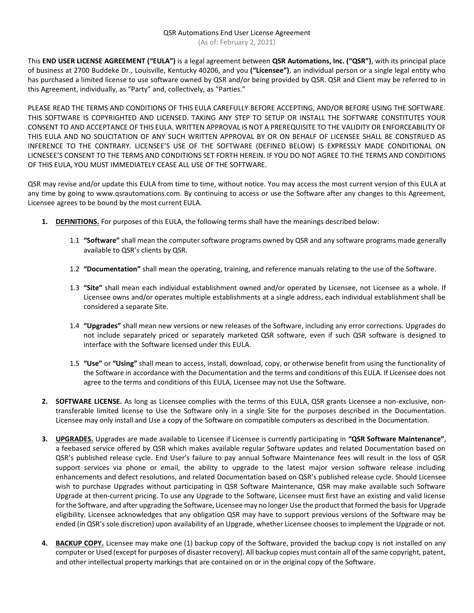This **END USER LICENSE AGREEMENT ("EULA")** is a legal agreement between **QSR Automations, Inc. ("QSR")**, with its principal place of business at 2700 Buddeke Dr., Louisville, Kentucky 40206, and you **("Licensee")**, an individual person or a single legal entity who has purchased a limited license to use software owned by QSR and/or being provided by QSR. QSR and Client may be referred to in this Agreement, individually, as "Party" and, collectively, as "Parties."

PLEASE READ THE TERMS AND CONDITIONS OF THIS EULA CAREFULLY BEFORE ACCEPTING, AND/OR BEFORE USING THE SOFTWARE. THIS SOFTWARE IS COPYRIGHTED AND LICENSED. TAKING ANY STEP TO SETUP OR INSTALL THE SOFTWARE CONSTITUTES YOUR CONSENT TO AND ACCEPTANCE OF THIS EULA. WRITTEN APPROVAL IS NOT A PREREQUISITE TO THE VALIDITY OR ENFORCEABILITY OF THIS EULA AND NO SOLICITATION OF ANY SUCH WRITTEN APPROVAL BY OR ON BEHALF OF LICENSEE SHALL BE CONSTRUED AS INFERENCE TO THE CONTRARY. LICENSEE'S USE OF THE SOFTWARE (DEFINED BELOW) IS EXPRESSLY MADE CONDITIONAL ON LICNESEE'S CONSENT TO THE TERMS AND CONDITIONS SET FORTH HEREIN. IF YOU DO NOT AGREE TO THE TERMS AND CONDITIONS OF THIS EULA, YOU MUST IMMEDIATELY CEASE ALL USE OF THE SOFTWARE.

QSR may revise and/or update this EULA from time to time, without notice. You may access the most current version of this EULA at any time by going to www.qsrautomations.com. By continuing to access or use the Software after any changes to this Agreement, Licensee agrees to be bound by the most current EULA.

- **1. DEFINITIONS.** For purposes of this EULA, the following terms shall have the meanings described below:
	- 1.1 **"Software"** shall mean the computer software programs owned by QSR and any software programs made generally available to QSR's clients by QSR.
	- 1.2 **"Documentation"** shall mean the operating, training, and reference manuals relating to the use of the Software.
	- 1.3 **"Site"** shall mean each individual establishment owned and/or operated by Licensee, not Licensee as a whole. If Licensee owns and/or operates multiple establishments at a single address, each individual establishment shall be considered a separate Site.
	- 1.4 **"Upgrades"** shall mean new versions or new releases of the Software, including any error corrections. Upgrades do not include separately priced or separately marketed QSR software, even if such QSR software is designed to interface with the Software licensed under this EULA.
	- 1.5 **"Use"** or **"Using"** shall mean to access, install, download, copy, or otherwise benefit from using the functionality of the Software in accordance with the Documentation and the terms and conditions of this EULA. If Licensee does not agree to the terms and conditions of this EULA, Licensee may not Use the Software.
- **2. SOFTWARE LICENSE.** As long as Licensee complies with the terms of this EULA, QSR grants Licensee a non-exclusive, nontransferable limited license to Use the Software only in a single Site for the purposes described in the Documentation. Licensee may only install and Use a copy of the Software on compatible computers as described in the Documentation.
- **3. UPGRADES.** Upgrades are made available to Licensee if Licensee is currently participating in **"QSR Software Maintenance"**, a feebased service offered by QSR which makes available regular Software updates and related Documentation based on QSR's published release cycle. End User's failure to pay annual Software Maintenance fees will result in the loss of QSR support services via phone or email, the ability to upgrade to the latest major version software release including enhancements and defect resolutions, and related Documentation based on QSR's published release cycle. Should Licensee wish to purchase Upgrades without participating in QSR Software Maintenance, QSR may make available such Software Upgrade at then-current pricing. To use any Upgrade to the Software, Licensee must first have an existing and valid license for the Software, and after upgrading the Software, Licensee may no longer Use the product that formed the basis for Upgrade eligibility. Licensee acknowledges that any obligation QSR may have to support previous versions of the Software may be ended (in QSR's sole discretion) upon availability of an Upgrade, whether Licensee chooses to implement the Upgrade or not.
- **4. BACKUP COPY.** Licensee may make one (1) backup copy of the Software, provided the backup copy is not installed on any computer or Used (except for purposes of disaster recovery). All backup copies must contain all of the same copyright, patent, and other intellectual property markings that are contained on or in the original copy of the Software.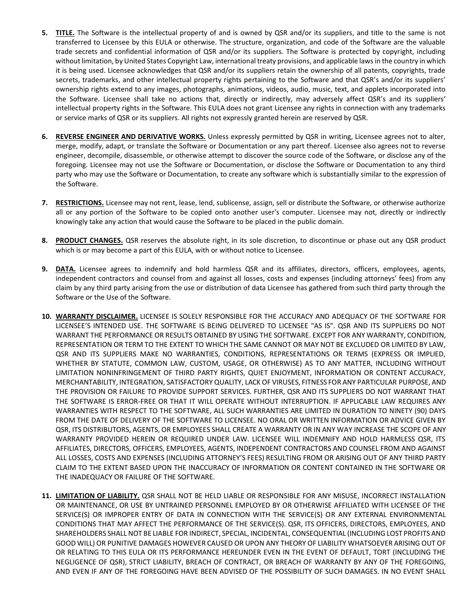- **5. TITLE.** The Software is the intellectual property of and is owned by QSR and/or its suppliers, and title to the same is not transferred to Licensee by this EULA or otherwise. The structure, organization, and code of the Software are the valuable trade secrets and confidential information of QSR and/or its suppliers. The Software is protected by copyright, including without limitation, by United States Copyright Law, international treaty provisions, and applicable laws in the country in which it is being used. Licensee acknowledges that QSR and/or its suppliers retain the ownership of all patents, copyrights, trade secrets, trademarks, and other intellectual property rights pertaining to the Software and that QSR's and/or its suppliers' ownership rights extend to any images, photographs, animations, videos, audio, music, text, and applets incorporated into the Software. Licensee shall take no actions that, directly or indirectly, may adversely affect QSR's and its suppliers' intellectual property rights in the Software. This EULA does not grant Licensee any rights in connection with any trademarks or service marks of QSR or its suppliers. All rights not expressly granted herein are reserved by QSR.
- **6. REVERSE ENGINEER AND DERIVATIVE WORKS.** Unless expressly permitted by QSR in writing, Licensee agrees not to alter, merge, modify, adapt, or translate the Software or Documentation or any part thereof. Licensee also agrees not to reverse engineer, decompile, disassemble, or otherwise attempt to discover the source code of the Software, or disclose any of the foregoing. Licensee may not use the Software or Documentation, or disclose the Software or Documentation to any third party who may use the Software or Documentation, to create any software which is substantially similar to the expression of the Software.
- **7. RESTRICTIONS.** Licensee may not rent, lease, lend, sublicense, assign, sell or distribute the Software, or otherwise authorize all or any portion of the Software to be copied onto another user's computer. Licensee may not, directly or indirectly knowingly take any action that would cause the Software to be placed in the public domain.
- **8. PRODUCT CHANGES.** QSR reserves the absolute right, in its sole discretion, to discontinue or phase out any QSR product which is or may become a part of this EULA, with or without notice to Licensee.
- **9. DATA.** Licensee agrees to indemnify and hold harmless QSR and its affiliates, directors, officers, employees, agents, independent contractors and counsel from and against all losses, costs and expenses (including attorneys' fees) from any claim by any third party arising from the use or distribution of data Licensee has gathered from such third party through the Software or the Use of the Software.
- **10. WARRANTY DISCLAIMER.** LICENSEE IS SOLELY RESPONSIBLE FOR THE ACCURACY AND ADEQUACY OF THE SOFTWARE FOR LICENSEE'S INTENDED USE. THE SOFTWARE IS BEING DELIVERED TO LICENSEE "AS IS". QSR AND ITS SUPPLIERS DO NOT WARRANT THE PERFORMANCE OR RESULTS OBTAINED BY USING THE SOFTWARE. EXCEPT FOR ANY WARRANTY, CONDITION, REPRESENTATION OR TERM TO THE EXTENT TO WHICH THE SAME CANNOT OR MAY NOT BE EXCLUDED OR LIMITED BY LAW, QSR AND ITS SUPPLIERS MAKE NO WARRANTIES, CONDITIONS, REPRESENTATIONS OR TERMS (EXPRESS OR IMPLIED, WHETHER BY STATUTE, COMMON LAW, CUSTOM, USAGE, OR OTHERWISE) AS TO ANY MATTER, INCLUDING WITHOUT LIMITATION NONINFRINGEMENT OF THIRD PARTY RIGHTS, QUIET ENJOYMENT, INFORMATION OR CONTENT ACCURACY, MERCHANTABILITY, INTEGRATION, SATISFACTORY QUALITY, LACK OF VIRUSES, FITNESS FOR ANY PARTICULAR PURPOSE, AND THE PROVISION OR FAILURE TO PROVIDE SUPPORT SERVICES. FURTHER, QSR AND ITS SUPPLIERS DO NOT WARRANT THAT THE SOFTWARE IS ERROR-FREE OR THAT IT WILL OPERATE WITHOUT INTERRUPTION. IF APPLICABLE LAW REQUIRES ANY WARRANTIES WITH RESPECT TO THE SOFTWARE, ALL SUCH WARRANTIES ARE LIMITED IN DURATION TO NINETY (90) DAYS FROM THE DATE OF DELIVERY OF THE SOFTWARE TO LICENSEE. NO ORAL OR WRITTEN INFORMATION OR ADVICE GIVEN BY QSR, ITS DISTRIBUTORS, AGENTS, OR EMPLOYEES SHALL CREATE A WARRANTY OR IN ANY WAY INCREASE THE SCOPE OF ANY WARRANTY PROVIDED HEREIN OR REQUIRED UNDER LAW. LICENSEE WILL INDEMNIFY AND HOLD HARMLESS QSR, ITS AFFILIATES, DIRECTORS, OFFICERS, EMPLOYEES, AGENTS, INDEPENDENT CONTRACTORS AND COUNSEL FROM AND AGAINST ALL LOSSES, COSTS AND EXPENSES (INCLUDING ATTORNEY'S FEES) RESULTING FROM OR ARISING OUT OF ANY THIRD PARTY CLAIM TO THE EXTENT BASED UPON THE INACCURACY OF INFORMATION OR CONTENT CONTAINED IN THE SOFTWARE OR THE INADEQUACY OR FAILURE OF THE SOFTWARE.
- **11. LIMITATION OF LIABILITY.** QSR SHALL NOT BE HELD LIABLE OR RESPONSIBLE FOR ANY MISUSE, INCORRECT INSTALLATION OR MAINTENANCE, OR USE BY UNTRAINED PERSONNEL EMPLOYED BY OR OTHERWISE AFFILIATED WITH LICENSEE OF THE SERVICE(S) OR IMPROPER ENTRY OF DATA IN CONNECTION WITH THE SERVICE(S) OR ANY EXTERNAL ENVIRONMENTAL CONDITIONS THAT MAY AFFECT THE PERFORMANCE OF THE SERVICE(S). QSR, ITS OFFICERS, DIRECTORS, EMPLOYEES, AND SHAREHOLDERS SHALL NOT BE LIABLE FOR INDIRECT, SPECIAL, INCIDENTAL, CONSEQUENTIAL (INCLUDING LOST PROFITS AND GOOD WILL) OR PUNITIVE DAMAGES HOWEVER CAUSED OR UPON ANY THEORY OF LIABILITY WHATSOEVER ARISING OUT OF OR RELATING TO THIS EULA OR ITS PERFORMANCE HEREUNDER EVEN IN THE EVENT OF DEFAULT, TORT (INCLUDING THE NEGLIGENCE OF QSR), STRICT LIABILITY, BREACH OF CONTRACT, OR BREACH OF WARRANTY BY ANY OF THE FOREGOING, AND EVEN IF ANY OF THE FOREGOING HAVE BEEN ADVISED OF THE POSSIBILITY OF SUCH DAMAGES. IN NO EVENT SHALL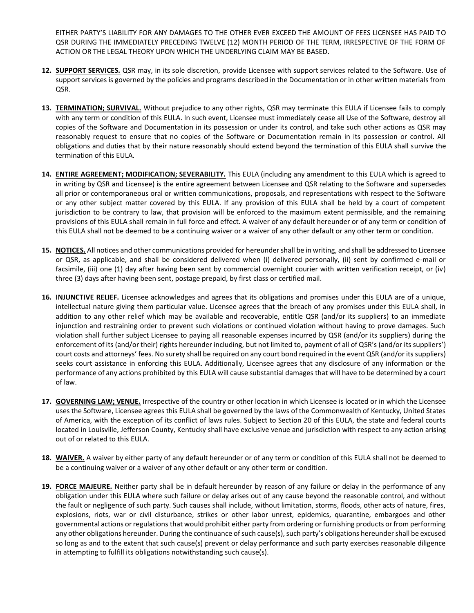EITHER PARTY'S LIABILITY FOR ANY DAMAGES TO THE OTHER EVER EXCEED THE AMOUNT OF FEES LICENSEE HAS PAID TO QSR DURING THE IMMEDIATELY PRECEDING TWELVE (12) MONTH PERIOD OF THE TERM, IRRESPECTIVE OF THE FORM OF ACTION OR THE LEGAL THEORY UPON WHICH THE UNDERLYING CLAIM MAY BE BASED.

- **12. SUPPORT SERVICES.** QSR may, in its sole discretion, provide Licensee with support services related to the Software. Use of support services is governed by the policies and programs described in the Documentation or in other written materials from QSR.
- **13. TERMINATION; SURVIVAL.** Without prejudice to any other rights, QSR may terminate this EULA if Licensee fails to comply with any term or condition of this EULA. In such event, Licensee must immediately cease all Use of the Software, destroy all copies of the Software and Documentation in its possession or under its control, and take such other actions as QSR may reasonably request to ensure that no copies of the Software or Documentation remain in its possession or control. All obligations and duties that by their nature reasonably should extend beyond the termination of this EULA shall survive the termination of this EULA.
- **14. ENTIRE AGREEMENT; MODIFICATION; SEVERABILITY.** This EULA (including any amendment to this EULA which is agreed to in writing by QSR and Licensee) is the entire agreement between Licensee and QSR relating to the Software and supersedes all prior or contemporaneous oral or written communications, proposals, and representations with respect to the Software or any other subject matter covered by this EULA. If any provision of this EULA shall be held by a court of competent jurisdiction to be contrary to law, that provision will be enforced to the maximum extent permissible, and the remaining provisions of this EULA shall remain in full force and effect. A waiver of any default hereunder or of any term or condition of this EULA shall not be deemed to be a continuing waiver or a waiver of any other default or any other term or condition.
- **15. NOTICES.** All notices and other communications provided for hereunder shall be in writing, and shall be addressed to Licensee or QSR, as applicable, and shall be considered delivered when (i) delivered personally, (ii) sent by confirmed e-mail or facsimile, (iii) one (1) day after having been sent by commercial overnight courier with written verification receipt, or (iv) three (3) days after having been sent, postage prepaid, by first class or certified mail.
- **16. INJUNCTIVE RELIEF.** Licensee acknowledges and agrees that its obligations and promises under this EULA are of a unique, intellectual nature giving them particular value. Licensee agrees that the breach of any promises under this EULA shall, in addition to any other relief which may be available and recoverable, entitle QSR (and/or its suppliers) to an immediate injunction and restraining order to prevent such violations or continued violation without having to prove damages. Such violation shall further subject Licensee to paying all reasonable expenses incurred by QSR (and/or its suppliers) during the enforcement of its (and/or their) rights hereunder including, but not limited to, payment of all of QSR's (and/or its suppliers') court costs and attorneys' fees. No surety shall be required on any court bond required in the event QSR (and/or its suppliers) seeks court assistance in enforcing this EULA. Additionally, Licensee agrees that any disclosure of any information or the performance of any actions prohibited by this EULA will cause substantial damages that will have to be determined by a court of law.
- **17. GOVERNING LAW; VENUE.** Irrespective of the country or other location in which Licensee is located or in which the Licensee uses the Software, Licensee agrees this EULA shall be governed by the laws of the Commonwealth of Kentucky, United States of America, with the exception of its conflict of laws rules. Subject to Section 20 of this EULA, the state and federal courts located in Louisville, Jefferson County, Kentucky shall have exclusive venue and jurisdiction with respect to any action arising out of or related to this EULA.
- **18. WAIVER.** A waiver by either party of any default hereunder or of any term or condition of this EULA shall not be deemed to be a continuing waiver or a waiver of any other default or any other term or condition.
- **19. FORCE MAJEURE.** Neither party shall be in default hereunder by reason of any failure or delay in the performance of any obligation under this EULA where such failure or delay arises out of any cause beyond the reasonable control, and without the fault or negligence of such party. Such causes shall include, without limitation, storms, floods, other acts of nature, fires, explosions, riots, war or civil disturbance, strikes or other labor unrest, epidemics, quarantine, embargoes and other governmental actions or regulations that would prohibit either party from ordering or furnishing products or from performing any other obligations hereunder. During the continuance of such cause(s), such party's obligations hereunder shall be excused so long as and to the extent that such cause(s) prevent or delay performance and such party exercises reasonable diligence in attempting to fulfill its obligations notwithstanding such cause(s).